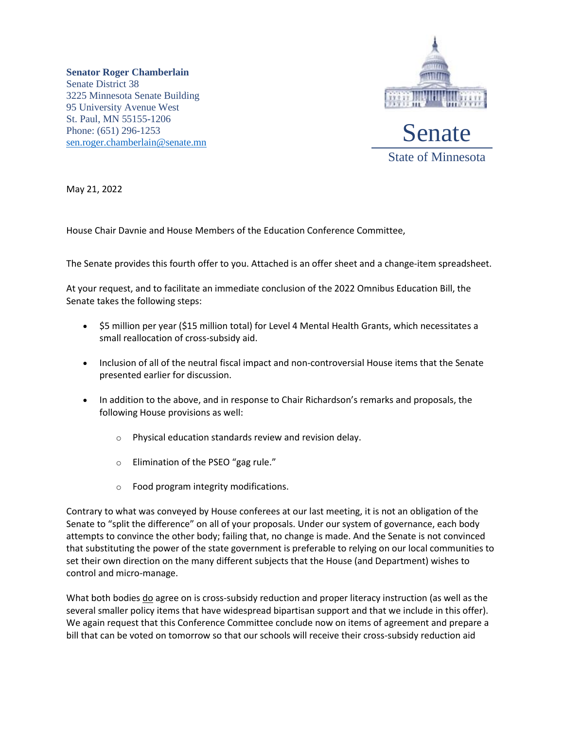**Senator Roger Chamberlain** Senate District 38 3225 Minnesota Senate Building 95 University Avenue West St. Paul, MN 55155-1206 Phone: (651) 296-1253 [sen.roger.chamberlain@senate.mn](mailto:sen.roger.chamberlain@senate.mn)



May 21, 2022

House Chair Davnie and House Members of the Education Conference Committee,

The Senate provides this fourth offer to you. Attached is an offer sheet and a change-item spreadsheet.

At your request, and to facilitate an immediate conclusion of the 2022 Omnibus Education Bill, the Senate takes the following steps:

- \$5 million per year (\$15 million total) for Level 4 Mental Health Grants, which necessitates a small reallocation of cross-subsidy aid.
- Inclusion of all of the neutral fiscal impact and non-controversial House items that the Senate presented earlier for discussion.
- In addition to the above, and in response to Chair Richardson's remarks and proposals, the following House provisions as well:
	- o Physical education standards review and revision delay.
	- o Elimination of the PSEO "gag rule."
	- o Food program integrity modifications.

Contrary to what was conveyed by House conferees at our last meeting, it is not an obligation of the Senate to "split the difference" on all of your proposals. Under our system of governance, each body attempts to convince the other body; failing that, no change is made. And the Senate is not convinced that substituting the power of the state government is preferable to relying on our local communities to set their own direction on the many different subjects that the House (and Department) wishes to control and micro-manage.

What both bodies do agree on is cross-subsidy reduction and proper literacy instruction (as well as the several smaller policy items that have widespread bipartisan support and that we include in this offer). We again request that this Conference Committee conclude now on items of agreement and prepare a bill that can be voted on tomorrow so that our schools will receive their cross-subsidy reduction aid